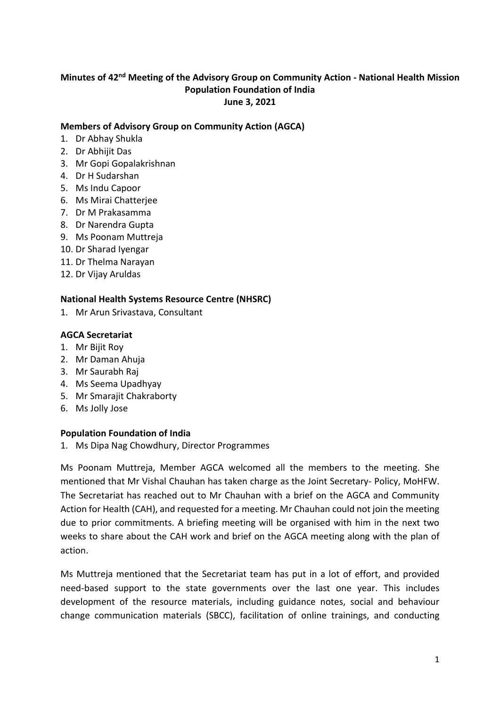## Minutes of 42<sup>nd</sup> Meeting of the Advisory Group on Community Action - National Health Mission **Population Foundation of India June 3, 2021**

#### **Members of Advisory Group on Community Action (AGCA)**

- 1. Dr Abhay Shukla
- 2. Dr Abhijit Das
- 3. Mr Gopi Gopalakrishnan
- 4. Dr H Sudarshan
- 5. Ms Indu Capoor
- 6. Ms Mirai Chatterjee
- 7. Dr M Prakasamma
- 8. Dr Narendra Gupta
- 9. Ms Poonam Muttreja
- 10. Dr Sharad Iyengar
- 11. Dr Thelma Narayan
- 12. Dr Vijay Aruldas

### **National Health Systems Resource Centre (NHSRC)**

1. Mr Arun Srivastava, Consultant

### **AGCA Secretariat**

- 1. Mr Bijit Roy
- 2. Mr Daman Ahuja
- 3. Mr Saurabh Raj
- 4. Ms Seema Upadhyay
- 5. Mr Smarajit Chakraborty
- 6. Ms Jolly Jose

#### **Population Foundation of India**

1. Ms Dipa Nag Chowdhury, Director Programmes

Ms Poonam Muttreja, Member AGCA welcomed all the members to the meeting. She mentioned that Mr Vishal Chauhan has taken charge as the Joint Secretary- Policy, MoHFW. The Secretariat has reached out to Mr Chauhan with a brief on the AGCA and Community Action for Health (CAH), and requested for a meeting. Mr Chauhan could not join the meeting due to prior commitments. A briefing meeting will be organised with him in the next two weeks to share about the CAH work and brief on the AGCA meeting along with the plan of action.

Ms Muttreja mentioned that the Secretariat team has put in a lot of effort, and provided need-based support to the state governments over the last one year. This includes development of the resource materials, including guidance notes, social and behaviour change communication materials (SBCC), facilitation of online trainings, and conducting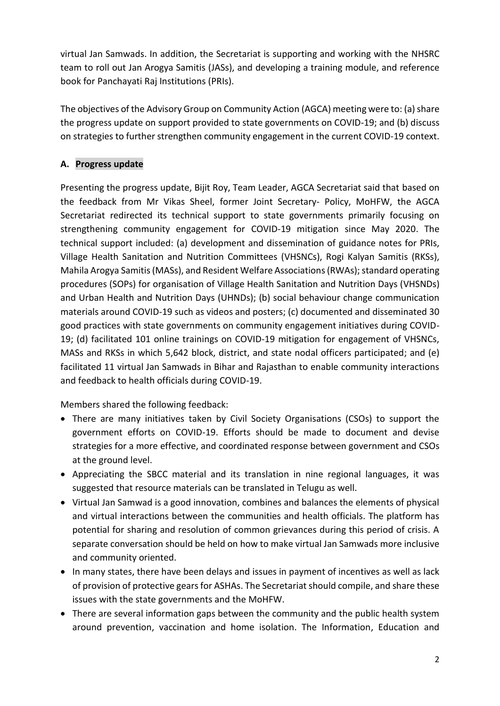virtual Jan Samwads. In addition, the Secretariat is supporting and working with the NHSRC team to roll out Jan Arogya Samitis (JASs), and developing a training module, and reference book for Panchayati Raj Institutions (PRIs).

The objectives of the Advisory Group on Community Action (AGCA) meeting were to: (a) share the progress update on support provided to state governments on COVID-19; and (b) discuss on strategies to further strengthen community engagement in the current COVID-19 context.

# **A. Progress update**

Presenting the progress update, Bijit Roy, Team Leader, AGCA Secretariat said that based on the feedback from Mr Vikas Sheel, former Joint Secretary- Policy, MoHFW, the AGCA Secretariat redirected its technical support to state governments primarily focusing on strengthening community engagement for COVID-19 mitigation since May 2020. The technical support included: (a) development and dissemination of guidance notes for PRIs, Village Health Sanitation and Nutrition Committees (VHSNCs), Rogi Kalyan Samitis (RKSs), Mahila Arogya Samitis (MASs), and Resident Welfare Associations (RWAs); standard operating procedures (SOPs) for organisation of Village Health Sanitation and Nutrition Days (VHSNDs) and Urban Health and Nutrition Days (UHNDs); (b) social behaviour change communication materials around COVID-19 such as videos and posters; (c) documented and disseminated 30 good practices with state governments on community engagement initiatives during COVID-19; (d) facilitated 101 online trainings on COVID-19 mitigation for engagement of VHSNCs, MASs and RKSs in which 5,642 block, district, and state nodal officers participated; and (e) facilitated 11 virtual Jan Samwads in Bihar and Rajasthan to enable community interactions and feedback to health officials during COVID-19.

Members shared the following feedback:

- There are many initiatives taken by Civil Society Organisations (CSOs) to support the government efforts on COVID-19. Efforts should be made to document and devise strategies for a more effective, and coordinated response between government and CSOs at the ground level.
- Appreciating the SBCC material and its translation in nine regional languages, it was suggested that resource materials can be translated in Telugu as well.
- Virtual Jan Samwad is a good innovation, combines and balances the elements of physical and virtual interactions between the communities and health officials. The platform has potential for sharing and resolution of common grievances during this period of crisis. A separate conversation should be held on how to make virtual Jan Samwads more inclusive and community oriented.
- In many states, there have been delays and issues in payment of incentives as well as lack of provision of protective gears for ASHAs. The Secretariat should compile, and share these issues with the state governments and the MoHFW.
- There are several information gaps between the community and the public health system around prevention, vaccination and home isolation. The Information, Education and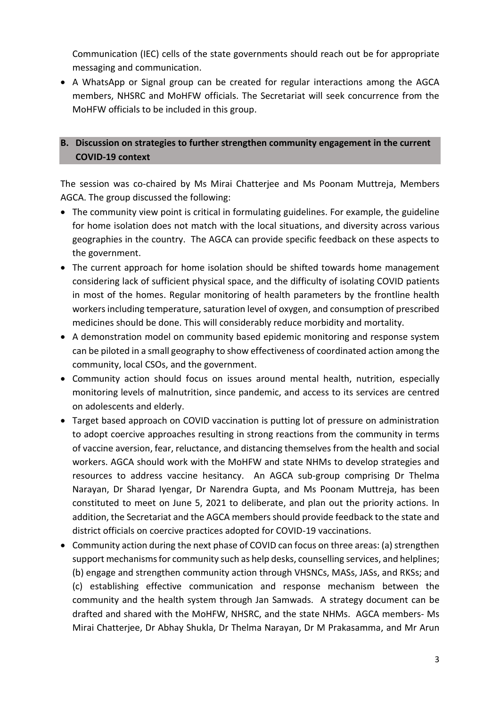Communication (IEC) cells of the state governments should reach out be for appropriate messaging and communication.

 A WhatsApp or Signal group can be created for regular interactions among the AGCA members, NHSRC and MoHFW officials. The Secretariat will seek concurrence from the MoHFW officials to be included in this group.

## **B. Discussion on strategies to further strengthen community engagement in the current COVID-19 context**

The session was co-chaired by Ms Mirai Chatterjee and Ms Poonam Muttreja, Members AGCA. The group discussed the following:

- The community view point is critical in formulating guidelines. For example, the guideline for home isolation does not match with the local situations, and diversity across various geographies in the country. The AGCA can provide specific feedback on these aspects to the government.
- The current approach for home isolation should be shifted towards home management considering lack of sufficient physical space, and the difficulty of isolating COVID patients in most of the homes. Regular monitoring of health parameters by the frontline health workers including temperature, saturation level of oxygen, and consumption of prescribed medicines should be done. This will considerably reduce morbidity and mortality.
- A demonstration model on community based epidemic monitoring and response system can be piloted in a small geography to show effectiveness of coordinated action among the community, local CSOs, and the government.
- Community action should focus on issues around mental health, nutrition, especially monitoring levels of malnutrition, since pandemic, and access to its services are centred on adolescents and elderly.
- Target based approach on COVID vaccination is putting lot of pressure on administration to adopt coercive approaches resulting in strong reactions from the community in terms of vaccine aversion, fear, reluctance, and distancing themselves from the health and social workers. AGCA should work with the MoHFW and state NHMs to develop strategies and resources to address vaccine hesitancy. An AGCA sub-group comprising Dr Thelma Narayan, Dr Sharad Iyengar, Dr Narendra Gupta, and Ms Poonam Muttreja, has been constituted to meet on June 5, 2021 to deliberate, and plan out the priority actions. In addition, the Secretariat and the AGCA members should provide feedback to the state and district officials on coercive practices adopted for COVID-19 vaccinations.
- Community action during the next phase of COVID can focus on three areas: (a) strengthen support mechanisms for community such as help desks, counselling services, and helplines; (b) engage and strengthen community action through VHSNCs, MASs, JASs, and RKSs; and (c) establishing effective communication and response mechanism between the community and the health system through Jan Samwads. A strategy document can be drafted and shared with the MoHFW, NHSRC, and the state NHMs. AGCA members- Ms Mirai Chatterjee, Dr Abhay Shukla, Dr Thelma Narayan, Dr M Prakasamma, and Mr Arun